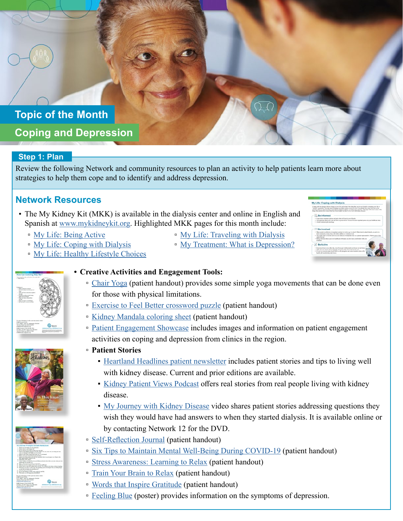# **Topic of the Month Coping and Depression**

#### **Step 1: Plan**

Review the following Network and community resources to plan an activity to help patients learn more about strategies to help them cope and to identify and address depression.

### **Network Resources**

- The My Kidney Kit (MKK) is available in the dialysis center and online in English and Spanish at [www.mykidneykit.org.](http://www.mykidneykit.org) Highlighted MKK pages for this month include:
	- [My Life: Being Active](https://resourcehub.exchange/?goto=XxVfMhpiZ0owWzVBIFAcWVs0UihAQi9WViALUydaBhgqNDYLWVAabRJYGCV3VEZGHQJUEFwTb1M4Il0aNVhxAwZZH2RSKC5KMFsyCWdWSVdPYhh8WUMlVQt2W0t7BUlFc2hg)
	- <sup>n</sup> [My Life: Coping with Dialysis](https://resourcehub.exchange/?goto=XxVfMhpiZ0owWzVBIFAcWVs0UihAQi9WViALUydaBhgqNDYLWVAabRJYGCV3VUwbFQ9HVF0fNARiNlAWPU0_X0ROFDVQKSVcORVuAmMKX0NLMA4oS0l6Al0mVklxUEBAJDlkX0cIW3hOCUd1bA8)
	- [My Life: Healthy Lifestyle Choices](https://resourcehub.exchange/?goto=XxVfMhpiZ0owWzVBIFAcWVs0UihAQi9WViALUydaBhgqNDYLWVAabRJYGCV3XkYKEBVIAAcaKQoqIU0OPVFhVV8OQiFFPmcHIlg-WTZfRAQfbk5rSkQhRV00BkF2UEEQJ29mXBQLAXkbAEt3YgYbWE9VFw)
- 





#### **• Creative Activities and Engagement Tools:**

• [Chair Yoga](http://resourcehub.exchange/download/chair-yoga/?wpdmdl=6308&refresh=5ebc2ff38698f1589391347) (patient handout) provides some simple yoga movements that can be done even for those with physical limitations.

▫ [My Life: Traveling with Dialysis](https://resourcehub.exchange/?goto=XxVfMhpiZ0owWzVBIFAcWVs0UihAQi9WViALUydaBhgqNDYLWVAabRJYGCV3QlEKCgRMEEQRbRsmJlFaNV0tWk4SQjEPcj9IMUU-WG8GSAYWcA4oXlMiRFB6WxlzUxBEcjo2WEQEAHFLBkZwYgQbUkw) ■ [My Treatment: What is Depression?](https://resourcehub.exchange/?goto=XxVfMhpiZ0owWzVBIFAcWVs0UihAQi9WViALUydaBhgqNDYLWVAabQpDGyEuW0YFCExEHFoEJR88O1YZfgs7RlMMTy4de3kBZA4oUTRBHEJGa0koWRlyBQt1WB16AUhHc2NvX04EUHlK)

- [Exercise to Feel Better crossword puzzle](http://resourcehub.exchange/download/exercise-to-feel-better-crossword/?wpdmdl=6219&refresh=5eac2f76f40451588342646) (patient handout)
- [Kidney Mandala coloring sheet](http://resourcehub.exchange/download/kidney-mandala/?wpdmdl=6206&refresh=5eab0f2e2cfb71588268846) (patient handout)
- [Patient Engagement Showcase](https://resourcehub.exchange/download/patient-engagement-showcase-my-life/?wpdmdl=4795&refresh=5df8d6e0881a11576589024) includes images and information on patient engagement activities on coping and depression from clinics in the region.
- ▫ **Patient Stories**
	- **[Heartland Headlines patient newsletter](http://esrdnetwork12.org/patients/tools-resources/) includes patient stories and tips to living well** with kidney disease. Current and prior editions are available.
	- [Kidney Patient Views Podcast](https://www.esrdnetwork10.org/resources/podcast-2/) offers real stories from real people living with kidney disease.
	- [My Journey with Kidney Disease](http://esrdnetwork12.org/patients/patient-stories/) video shares patient stories addressing questions they wish they would have had answers to when they started dialysis. It is available online or by contacting Network 12 for the DVD.
- [Self-Reflection Journal](https://resourcehub.exchange/download/self-reflection-journal/?wpdmdl=6075&refresh=606613916fa701617302417) (patient handout)
- □ [Six Tips to Maintain Mental Well-Being During COVID-19](https://resourcehub.exchange/download/six-tips-to-maintain-mental-well-being-during-covid-19/?wpdmdl=6707&refresh=606613abf01111617302443) (patient handout)
- □ [Stress Awareness: Learning to Relax](https://resourcehub.exchange/download/stress-awareness-learning-to-relax/?wpdmdl=5650&refresh=606613c583d4b1617302469
) (patient handout)
- [Train Your Brain to Relax](https://resourcehub.exchange/download/train-your-brain-to-relax/?wpdmdl=6077&refresh=606613e0d9f191617302496) (patient handout)
- [Words that Inspire Gratitude](https://resourcehub.exchange/download/words-that-inspire-gratitude/?wpdmdl=6677&refresh=606613fd892f21617302525) (patient handout)
- [Feeling Blue](https://resourcehub.exchange/download/feeling-blue-poster/?wpdmdl=6673&refresh=606614221fb881617302562) (poster) provides information on the symptoms of depression.

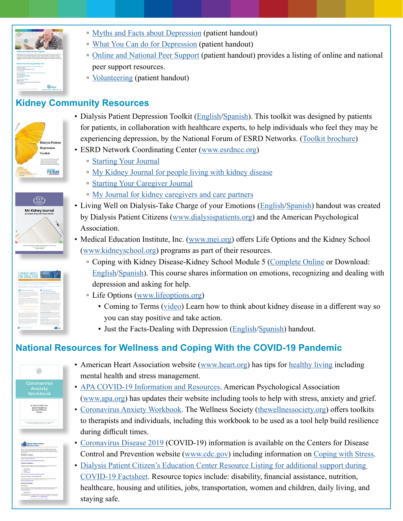

- [Myths and Facts about Depression](https://resourcehub.exchange/download/myths-vs-facts-about-depression/?wpdmdl=6067&refresh=60661440866841617302592) (patient handout)
- [What You Can do for Depression](https://resourcehub.exchange/download/what-you-can-do-for-depression-3/?wpdmdl=6176&refresh=60661464b4cb21617302628) (patient handout)
- [Online and National Peer Support](https://resourcehub.exchange/download/online-and-national-peer-support/?wpdmdl=5919&refresh=60661482b3a0f1617302658) (patient handout) provides a listing of online and national peer support resources.
- [Volunteering](https://resourcehub.exchange/download/volunteering/?wpdmdl=5853&refresh=6066149eec0ff1617302686) (patient handout)

## **Kidney Community Resources**







- Dialysis Patient Depression Toolkit [\(English/Spanish](https://esrdnetworks.org/toolkits/patient-toolkits/dialysis-patient-depression-toolkit/dialysis-patient-depression-toolkit-spanish/)). This toolkit was designed by patients for patients, in collaboration with healthcare experts, to help individuals who feel they may be experiencing depression, by the National Forum of ESRD Networks. ([Toolkit brochure\)](https://s3.amazonaws.com/media.esrdnetworks.org/documents/Depression_Toolkit_Brochure_0612.pdf)
- ESRD Network Coordinating Center [\(www.esrdncc.org\)](https://esrdncc.org/)
	- [Starting Your Journal](https://esrdncc.org/contentassets/5d142787a3394ad787978c7d2ea910b9/patientjournal_intro508.pdf)
	- [My Kidney Journal for people living with kidney disease](https://esrdncc.org/contentassets/5d142787a3394ad787978c7d2ea910b9/patientjournal508f.pdf)
	- [Starting Your Caregiver Journal](https://esrdncc.org/contentassets/5d142787a3394ad787978c7d2ea910b9/caregiverjournal_intro508.pdf)
	- <sup>•</sup> [My Journal for kidney caregivers and care partners](https://esrdncc.org/contentassets/5d142787a3394ad787978c7d2ea910b9/caregiverjournal508f.pdf)
- Living Well on Dialysis-Take Charge of your Emotions [\(English](https://www.apa.org/topics/dialysis.pdf)[/Spanish](https://www.apa.org/centrodeapoyo/dialisis.pdf)) handout was created by Dialysis Patient Citizens [\(www.dialysispatients.org](https://www.dialysispatients.org/)) and the American Psychological Association.
- Medical Education Institute, Inc. ([www.mei.org](https://www.mei.org/)) offers Life Options and the Kidney School [\(www.kidneyschool.org](https://kidneyschool.org/)) programs as part of their resources.
	- Coping with Kidney Disease-Kidney School Module 5 ([Complete Online](https://kidneyschool.org/m05/) or Download: [English](https://kidneyschool.org/pdfs/KSModule5.pdf)[/Spanish](https://kidneyschool.org/pdfs/KSModule5_SP.pdf)). This course shares information on emotions, recognizing and dealing with depression and asking for help.
	- Life Options [\(www.lifeoptions.org\)](https://lifeoptions.org/)
		- Coming to Terms ([video](https://youtu.be/Zyf-2f0fmH8)) Learn how to think about kidney disease in a different way so you can stay positive and take action.
		- **Just the Facts-Dealing with Depression [\(English](https://lifeoptions.org/assets/pdfs/just_the_facts_dealing_with_depression.pdf)[/Spanish](https://lifeoptions.org/assets/pdfs/just_the_facts_dealing_with_depression_sp.pdf)) handout.**

## **National Resources for Wellness and Coping With the COVID-19 Pandemic**



elli mayor Person 

- American Heart Association website ([www.heart.org\)](https://www.heart.org/) has tips for [healthy living](https://www.heart.org/en/healthy-living) including mental health and stress management.
- [APA COVID-19 Information and Resources](https://www.apa.org/topics/covid-19). American Psychological Association [\(www.apa.org\)](https://www.apa.org/) has updates their website including tools to help with stress, anxiety and grief.
- [Coronavirus Anxiety Workbook.](https://thewellnesssociety.org/wp-content/uploads/2020/04/Coronavirus-Anxiety-Workbook-1.pdf) The Wellness Society ([thewellnessociety.org](https://thewellnesssociety.org/)) offers toolkits to therapists and individuals, including this workbook to be used as a tool help build resilience during difficult times.
- [Coronavirus Disease 2019](https://www.cdc.gov/coronavirus/2019-nCoV/index.html) (COVID-19) information is available on the Centers for Disease Control and Prevention website ([www.cdc.gov\)](http://www.cdc.gov) including information on [Coping with Stress](https://www.cdc.gov/coronavirus/2019-ncov/daily-life-coping/managing-stress-anxiety.html).
- Dialysis Patient Citizen's Education Center Resource Listing for additional support during [COVID-19 Factsheet](https://www.dpcedcenter.org/wp-content/uploads/2020/04/COVID-19-Resources-for-Dialysis-Patients-Factsheet.pdf). Resource topics include: disability, financial assistance, nutrition, healthcare, housing and utilities, jobs, transportation, women and children, daily living, and staying safe.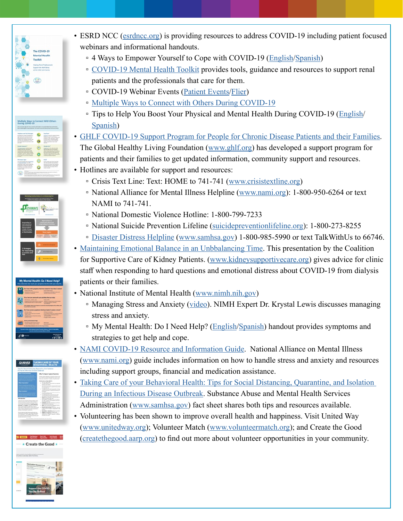

- ESRD NCC ([esrdncc.org](https://esrdncc.org/)) is providing resources to address COVID-19 including patient focused webinars and informational handouts.
	- 4 Ways to Empower Yourself to Cope with COVID-19 ([English/](https://esrdncc.org/globalassets/covid-19/patient-empowerment-strategies-for-coping-with-covid.pdf)[Spanish\)](https://esrdncc.org/globalassets/covid-19/patient-empowerment-strategies-for-coping-with-covid-spanish.pdf)
	- [COVID-19 Mental Health Toolkit](https://esrdncc.org/contentassets/abe8671eadac49c691c0f40eef52ef18/covid19mhtoolkit07312020508.pdf) provides tools, guidance and resources to support renal patients and the professionals that care for them.
	- □ COVID-19 Webinar Events [\(Patient Events](https://esrdncc.org/en/covid-19/covid-webinars/)/[Flier](https://esrdncc.org/contentassets/1adc1ac817924bf9ad70ac2b48d10af2/webinar-covid19-flyer3508.pdf))
	- [Multiple Ways to Connect with Others During COVID-19](https://esrdncc.org/globalassets/patients/stayingconnected-flyerv3508.pdf)
	- Tips to Help You Boost Your Physical and Mental Health During COVID-19 [\(English/](https://esrdncc.org/globalassets/covid-19/covid19copingtipsflyer508.pdf) [Spanish\)](https://esrdncc.org/globalassets/covid-19/covid19copingtipsflyersp508.pdf)
- [GHLF COVID-19 Support Program for People for Chronic Disease Patients and their Families](https://www.ghlf.org/coronavirus-patient-support/). The Global Healthy Living Foundation [\(www.ghlf.org\)](https://www.ghlf.org/) has developed a support program for patients and their families to get updated information, community support and resources.
- Hotlines are available for support and resources:
	- Crisis Text Line: Text: HOME to 741-741 ([www.crisistextline.org](https://www.crisistextline.org))
	- National Alliance for Mental Illness Helpline [\(www.nami.org](https://www.nami.org/Home)): 1-800-950-6264 or text NAMI to 741-741.
	- National Domestic Violence Hotline: 1-800-799-7233
	- National Suicide Prevention Lifeline ([suicidepreventionlifeline.org\)](https://suicidepreventionlifeline.org/): 1-800-273-8255
	- [Disaster Distress Helpline](https://www.samhsa.gov/disaster-preparedness) ([www.samhsa.gov](http://www.samhsa.gov)) 1-800-985-5990 or text TalkWithUs to 66746.
- [Maintaining Emotional Balance in an Unbbalancing Time](https://gwu.app.box.com/s/qof0kg83knuoorwv6rx4iq6flr0rxc44). This presentation by the Coalition for Supportive Care of Kidney Patients. [\(www.kidneysupportivecare.org](http://www.kidneysupportivecare.org)) gives advice for clinic staff when responding to hard questions and emotional distress about COVID-19 from dialysis patients or their families.
- National Institute of Mental Health [\(www.nimh.nih.gov](http://www.nimh.nih.gov))
	- Managing Stress and Anxiety [\(video\)](https://www.youtube.com/watch?v=WThJm4eI8Wk). NIMH Expert Dr. Krystal Lewis discusses managing stress and anxiety.
	- My Mental Health: Do I Need Help? [\(English/](https://www.nimh.nih.gov/health/publications/my-mental-health-do-i-need-help/20-mh-8134-mymentalhealth-508_161032.pdf)[Spanish](https://www.nimh.nih.gov/health/publications/espanol/necesito-ayuda-para-mi-salud-mental/pdf_20-mh-8143s_necesito-ayuda-2020-sp_161237.pdf)) handout provides symptoms and strategies to get help and cope.
- [NAMI COVID-19 Resource and Information Guide](https://www.nami.org/Support-Education/NAMI-HelpLine/COVID-19-Information-and-Resources/COVID-19-Guide.pdf). National Alliance on Mental Illness [\(www.nami.org](http://www.nami.org)) guide includes information on how to handle stress and anxiety and resources including support groups, financial and medication assistance.
- [Taking Care of your Behavioral Health: Tips for Social Distancing, Quarantine, and Isolation](https://www.samhsa.gov/sites/default/files/tips-social-distancing-quarantine-isolation-031620.pdf)  [During an Infectious Disease Outbreak.](https://www.samhsa.gov/sites/default/files/tips-social-distancing-quarantine-isolation-031620.pdf) Substance Abuse and Mental Health Services Administration [\(www.samhsa.gov\)](http://www.samhsa.gov) fact sheet shares both tips and resources available.
- Volunteering has been shown to improve overall health and happiness. Visit United Way [\(www.unitedway.org\)](http://www.unitedway.org); Volunteer Match ([www.volunteermatch.org\)](http://www.volunteermatch.org); and Create the Good [\(createthegood.aarp.org](https://createthegood.aarp.org/)) to find out more about volunteer opportunities in your community.







**Create the Good**